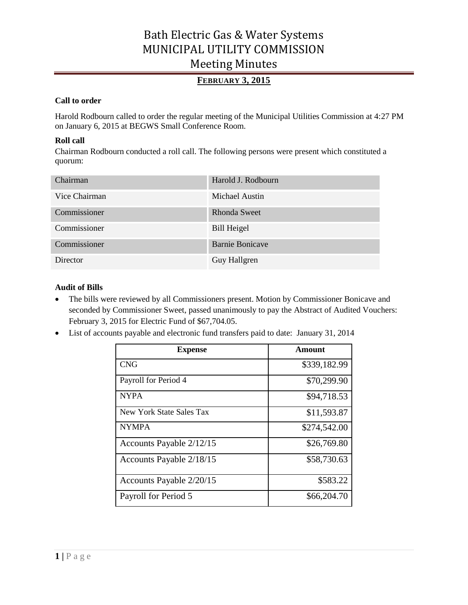## **FEBRUARY 3, 2015**

### **Call to order**

Harold Rodbourn called to order the regular meeting of the Municipal Utilities Commission at 4:27 PM on January 6, 2015 at BEGWS Small Conference Room.

### **Roll call**

Chairman Rodbourn conducted a roll call. The following persons were present which constituted a quorum:

| Chairman      | Harold J. Rodbourn     |
|---------------|------------------------|
| Vice Chairman | Michael Austin         |
| Commissioner  | Rhonda Sweet           |
| Commissioner  | <b>Bill Heigel</b>     |
| Commissioner  | <b>Barnie Bonicave</b> |
| Director      | Guy Hallgren           |

### **Audit of Bills**

- The bills were reviewed by all Commissioners present. Motion by Commissioner Bonicave and seconded by Commissioner Sweet, passed unanimously to pay the Abstract of Audited Vouchers: February 3, 2015 for Electric Fund of \$67,704.05.
- List of accounts payable and electronic fund transfers paid to date: January 31, 2014

| <b>Expense</b>           | Amount       |
|--------------------------|--------------|
| <b>CNG</b>               | \$339,182.99 |
| Payroll for Period 4     | \$70,299.90  |
| <b>NYPA</b>              | \$94,718.53  |
| New York State Sales Tax | \$11,593.87  |
| <b>NYMPA</b>             | \$274,542.00 |
| Accounts Payable 2/12/15 | \$26,769.80  |
| Accounts Payable 2/18/15 | \$58,730.63  |
| Accounts Payable 2/20/15 | \$583.22     |
| Payroll for Period 5     | \$66,204.70  |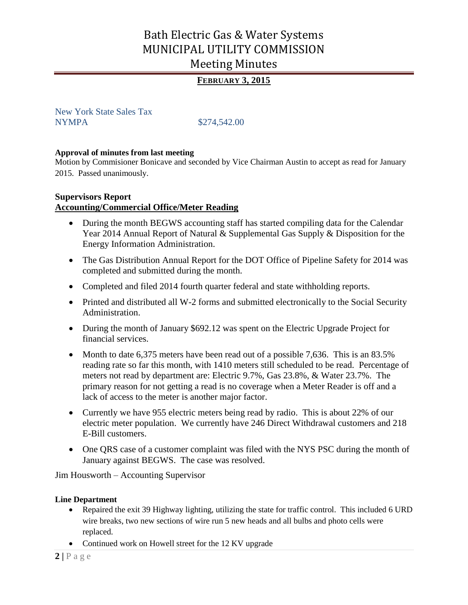## **FEBRUARY 3, 2015**

New York State Sales Tax NYMPA  $$274,542.00$ 

#### **Approval of minutes from last meeting**

Motion by Commisioner Bonicave and seconded by Vice Chairman Austin to accept as read for January 2015. Passed unanimously.

### **Supervisors Report**

### **Accounting/Commercial Office/Meter Reading**

- During the month BEGWS accounting staff has started compiling data for the Calendar Year 2014 Annual Report of Natural & Supplemental Gas Supply & Disposition for the Energy Information Administration.
- The Gas Distribution Annual Report for the DOT Office of Pipeline Safety for 2014 was completed and submitted during the month.
- Completed and filed 2014 fourth quarter federal and state withholding reports.
- Printed and distributed all W-2 forms and submitted electronically to the Social Security Administration.
- During the month of January \$692.12 was spent on the Electric Upgrade Project for financial services.
- Month to date 6,375 meters have been read out of a possible 7,636. This is an 83.5% reading rate so far this month, with 1410 meters still scheduled to be read. Percentage of meters not read by department are: Electric 9.7%, Gas 23.8%, & Water 23.7%. The primary reason for not getting a read is no coverage when a Meter Reader is off and a lack of access to the meter is another major factor.
- Currently we have 955 electric meters being read by radio. This is about 22% of our electric meter population. We currently have 246 Direct Withdrawal customers and 218 E-Bill customers.
- One QRS case of a customer complaint was filed with the NYS PSC during the month of January against BEGWS. The case was resolved.

Jim Housworth – Accounting Supervisor

#### **Line Department**

- Repaired the exit 39 Highway lighting, utilizing the state for traffic control. This included 6 URD wire breaks, two new sections of wire run 5 new heads and all bulbs and photo cells were replaced.
- Continued work on Howell street for the 12 KV upgrade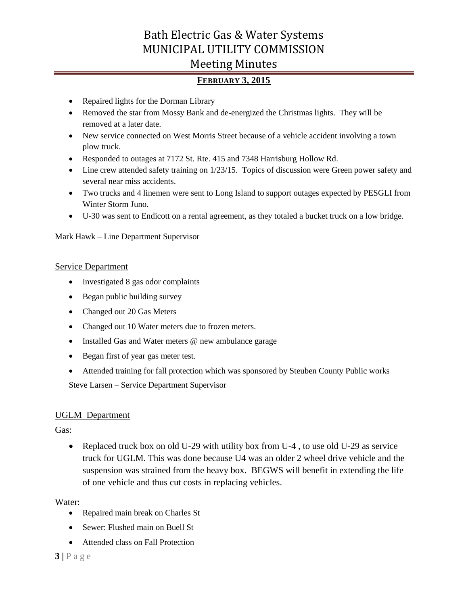## **FEBRUARY 3, 2015**

- Repaired lights for the Dorman Library
- Removed the star from Mossy Bank and de-energized the Christmas lights. They will be removed at a later date.
- New service connected on West Morris Street because of a vehicle accident involving a town plow truck.
- Responded to outages at 7172 St. Rte. 415 and 7348 Harrisburg Hollow Rd.
- Line crew attended safety training on 1/23/15. Topics of discussion were Green power safety and several near miss accidents.
- Two trucks and 4 linemen were sent to Long Island to support outages expected by PESGLI from Winter Storm Juno.
- U-30 was sent to Endicott on a rental agreement, as they totaled a bucket truck on a low bridge.

Mark Hawk – Line Department Supervisor

### Service Department

- Investigated 8 gas odor complaints
- Began public building survey
- Changed out 20 Gas Meters
- Changed out 10 Water meters due to frozen meters.
- Installed Gas and Water meters @ new ambulance garage
- Began first of year gas meter test.
- Attended training for fall protection which was sponsored by Steuben County Public works Steve Larsen – Service Department Supervisor

### UGLM Department

Gas:

• Replaced truck box on old U-29 with utility box from U-4, to use old U-29 as service truck for UGLM. This was done because U4 was an older 2 wheel drive vehicle and the suspension was strained from the heavy box. BEGWS will benefit in extending the life of one vehicle and thus cut costs in replacing vehicles.

### Water:

- Repaired main break on Charles St
- Sewer: Flushed main on Buell St
- Attended class on Fall Protection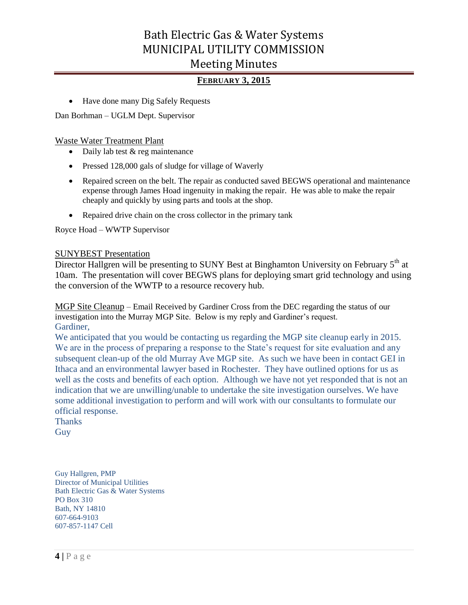### **FEBRUARY 3, 2015**

• Have done many Dig Safely Requests

Dan Borhman – UGLM Dept. Supervisor

Waste Water Treatment Plant

- $\bullet$  Daily lab test & reg maintenance
- Pressed 128,000 gals of sludge for village of Waverly
- Repaired screen on the belt. The repair as conducted saved BEGWS operational and maintenance expense through James Hoad ingenuity in making the repair. He was able to make the repair cheaply and quickly by using parts and tools at the shop.
- Repaired drive chain on the cross collector in the primary tank

Royce Hoad – WWTP Supervisor

#### SUNYBEST Presentation

Director Hallgren will be presenting to SUNY Best at Binghamton University on February 5<sup>th</sup> at 10am. The presentation will cover BEGWS plans for deploying smart grid technology and using the conversion of the WWTP to a resource recovery hub.

MGP Site Cleanup – Email Received by Gardiner Cross from the DEC regarding the status of our investigation into the Murray MGP Site. Below is my reply and Gardiner's request. Gardiner,

We anticipated that you would be contacting us regarding the MGP site cleanup early in 2015. We are in the process of preparing a response to the State's request for site evaluation and any subsequent clean-up of the old Murray Ave MGP site. As such we have been in contact GEI in Ithaca and an environmental lawyer based in Rochester. They have outlined options for us as well as the costs and benefits of each option. Although we have not yet responded that is not an indication that we are unwilling/unable to undertake the site investigation ourselves. We have some additional investigation to perform and will work with our consultants to formulate our official response.

**Thanks** Guy

Guy Hallgren, PMP Director of Municipal Utilities Bath Electric Gas & Water Systems PO Box 310 Bath, NY 14810 607-664-9103 607-857-1147 Cell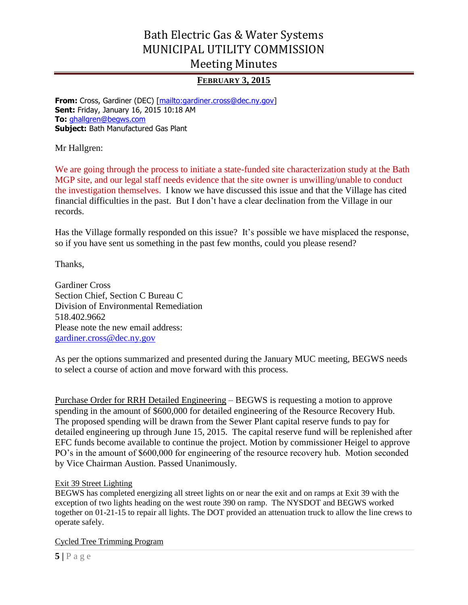## **FEBRUARY 3, 2015**

**From:** Cross, Gardiner (DEC) [\[mailto:gardiner.cross@dec.ny.gov\]](mailto:gardiner.cross@dec.ny.gov) **Sent:** Friday, January 16, 2015 10:18 AM **To:** [ghallgren@begws.com](mailto:ghallgren@begws.com) **Subject:** Bath Manufactured Gas Plant

Mr Hallgren:

We are going through the process to initiate a state-funded site characterization study at the Bath MGP site, and our legal staff needs evidence that the site owner is unwilling/unable to conduct the investigation themselves. I know we have discussed this issue and that the Village has cited financial difficulties in the past. But I don't have a clear declination from the Village in our records.

Has the Village formally responded on this issue? It's possible we have misplaced the response, so if you have sent us something in the past few months, could you please resend?

Thanks,

Gardiner Cross Section Chief, Section C Bureau C Division of Environmental Remediation 518.402.9662 Please note the new email address: [gardiner.cross@dec.ny.gov](mailto:gardiner.cross@dec.ny.gov)

As per the options summarized and presented during the January MUC meeting, BEGWS needs to select a course of action and move forward with this process.

Purchase Order for RRH Detailed Engineering – BEGWS is requesting a motion to approve spending in the amount of \$600,000 for detailed engineering of the Resource Recovery Hub. The proposed spending will be drawn from the Sewer Plant capital reserve funds to pay for detailed engineering up through June 15, 2015. The capital reserve fund will be replenished after EFC funds become available to continue the project. Motion by commissioner Heigel to approve PO's in the amount of \$600,000 for engineering of the resource recovery hub. Motion seconded by Vice Chairman Austion. Passed Unanimously.

### Exit 39 Street Lighting

BEGWS has completed energizing all street lights on or near the exit and on ramps at Exit 39 with the exception of two lights heading on the west route 390 on ramp. The NYSDOT and BEGWS worked together on 01-21-15 to repair all lights. The DOT provided an attenuation truck to allow the line crews to operate safely.

Cycled Tree Trimming Program